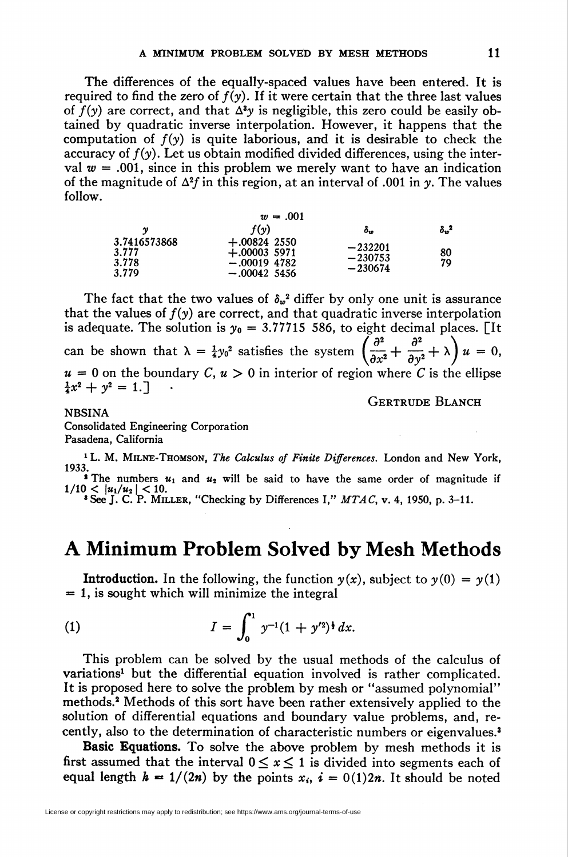The differences of the equally-spaced values have been entered. It is required to find the zero of  $f(y)$ . If it were certain that the three last values of  $f(y)$  are correct, and that  $\Delta^3 y$  is negligible, this zero could be easily obtained by quadratic inverse interpolation. However, it happens that the computation of  $f(y)$  is quite laborious, and it is desirable to check the accuracy of  $f(y)$ . Let us obtain modified divided differences, using the interval  $w = .001$ , since in this problem we merely want to have an indication of the magnitude of  $\Delta^2 f$  in this region, at an interval of .001 in y. The values follow.

| $w = .001$                              |                                                                     |                                     |                    |  |  |  |  |  |
|-----------------------------------------|---------------------------------------------------------------------|-------------------------------------|--------------------|--|--|--|--|--|
| v                                       | f(v)                                                                | $\delta_w$                          | $\delta_{w}{}^{2}$ |  |  |  |  |  |
| 3.7416573868<br>3.777<br>3.778<br>3.779 | $+.00824$ 2550<br>$+.000035971$<br>$-.00019$ 4782<br>$-.00042$ 5456 | $-232201$<br>$-230753$<br>$-230674$ | 80<br>79           |  |  |  |  |  |

The fact that the two values of  $\delta_w^2$  differ by only one unit is assurance that the values of  $f(y)$  are correct, and that quadratic inverse interpolation is adequate. The solution is  $y_0 = 3.77715556$ , to eight decimal places. [It] can be shown that  $\lambda = \frac{1}{4}y_0^2$  satisfies the system  $\left(\frac{\partial^2}{\partial x_0^2} + \frac{\partial^2}{\partial y_0^2} + \lambda\right)u = 0$ ,  $u = 0$  on the boundary C,  $u > 0$  in interior of region where C is the ellipse  $\frac{1}{4}x^2 + y^2 = 1.$ 

Gertrude Blanch

## NBSINA

Consolidated Engineering Corporation Pasadena, California

<sup>1</sup> L. M. MILNE-THOMSON, The Calculus of Finite Differences. London and New York, 1933. The numbers  $u_1$  and  $u_2$  will be said to have the same order of magnitude if  $1/10 < |u_1/u_2| < 10.$ <br>
<sup>3</sup> See J. C. P. MILLER, "Checking by Differences I," MTAC, v. 4, 1950, p. 3–11.

## A Minimum Problem Solved by Mesh Methods

**Introduction.** In the following, the function  $y(x)$ , subject to  $y(0) = y(1)$  $= 1$ , is sought which will minimize the integral

(1) 
$$
I = \int_0^1 y^{-1}(1 + y'^2)^{\frac{1}{2}} dx.
$$

This problem can be solved by the usual methods of the calculus of variations<sup>1</sup> but the differential equation involved is rather complicated. It is proposed here to solve the problem by mesh or "assumed polynomial" methods.2 Methods of this sort have been rather extensively applied to the solution of differential equations and boundary value problems, and, recently, also to the determination of characteristic numbers or eigenvalues.3

Basic Equations. To solve the above problem by mesh methods it is first assumed that the interval  $0 \le x \le 1$  is divided into segments each of equal length  $h = 1/(2n)$  by the points  $x_i$ ,  $i = 0(1)2n$ . It should be noted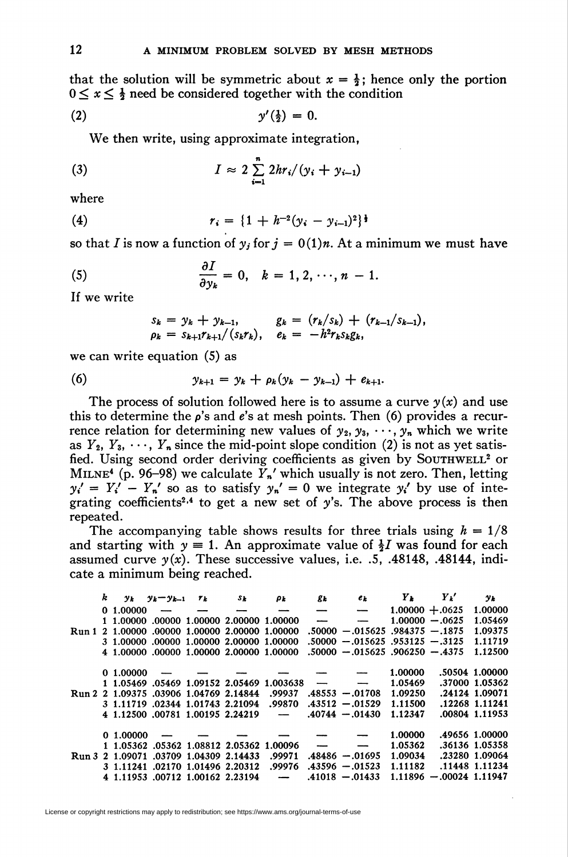that the solution will be symmetric about  $x = \frac{1}{2}$ ; hence only the portion  $0 \leq x \leq \frac{1}{2}$  need be considered together with the condition

$$
y'(\frac{1}{2}) = 0.
$$

We then write, using approximate integration,

(3) 
$$
I \approx 2 \sum_{i=1}^{n} 2hr_i/(y_i + y_{i-1})
$$

where

(4) 
$$
r_i = \{1 + h^{-2}(y_i - y_{i-1})^2\}^{\frac{1}{2}}
$$

so that I is now a function of  $y_j$  for  $j = 0(1)n$ . At a minimum we must have

(5) 
$$
\frac{\partial I}{\partial y_k} = 0, \quad k = 1, 2, \cdots, n-1.
$$

If we write

$$
s_k = y_k + y_{k-1}, \qquad g_k = (r_k/s_k) + (r_{k-1}/s_{k-1}),
$$
  
\n
$$
\rho_k = s_{k+1}r_{k+1}/(s_kr_k), \quad e_k = -h^2r_ks_kg_k,
$$

we can write equation (5) as

(6) 
$$
y_{k+1} = y_k + \rho_k (y_k - y_{k-1}) + e_{k+1}.
$$

The process of solution followed here is to assume a curve  $y(x)$  and use this to determine the  $\rho$ 's and  $e$ 's at mesh points. Then (6) provides a recurrence relation for determining new values of  $y_2, y_3, \dots, y_n$  which we write as  $Y_2, Y_3, \cdots, Y_n$  since the mid-point slope condition (2) is not as yet satisfied. Using second order deriving coefficients as given by SOUTHWELL<sup>2</sup> or MILNE<sup>4</sup> (p. 96–98) we calculate  $\overline{Y}_n'$  which usually is not zero. Then, letting  $y_i' = Y_i' - Y_n'$  so as to satisfy  $y_n' = 0$  we integrate  $y_i'$  by use of integrating coefficients<sup>2,4</sup> to get a new set of y's. The above process is then repeated.

The accompanying table shows results for three trials using  $h = 1/8$ and starting with  $y \equiv 1$ . An approximate value of  $\frac{1}{2}I$  was found for each assumed curve  $y(x)$ . These successive values, i.e.  $.5, .48148, .48144,$  indicate a minimum being reached.

|  | k |            | $y_k$ $y_k-y_{k-1}$ | $r_k$                                                                              | Sk                                             | ρr                                        | g <sub>k</sub>           | $e_k$                              | $\boldsymbol{Y_k}$ | $Y_k'$                    | $y_k$          |
|--|---|------------|---------------------|------------------------------------------------------------------------------------|------------------------------------------------|-------------------------------------------|--------------------------|------------------------------------|--------------------|---------------------------|----------------|
|  |   | 0.1.00000  |                     |                                                                                    |                                                | ---                                       | $\overline{\phantom{0}}$ | $\overline{\phantom{m}}$           | $1.00000 + .0625$  |                           | 1.00000        |
|  |   |            |                     |                                                                                    | 1 1.00000 .00000 1.00000 2.00000 1.00000       |                                           | $\overline{\phantom{a}}$ | $\overline{\phantom{m}}$           |                    | $1.00000 - .0625$         | 1.05469        |
|  |   |            |                     |                                                                                    | Run 1 2 1.00000 .00000 1.00000 2.00000 1.00000 |                                           |                          | $.50000 - .015625$ .984375 -.1875  |                    |                           | 1.09375        |
|  |   |            |                     |                                                                                    | 3 1.00000 .00000 1.00000 2.00000 1.00000       |                                           |                          | $.50000 - .015625$ .953125 - .3125 |                    |                           | 1.11719        |
|  |   |            |                     |                                                                                    | 4 1.00000 .00000 1.00000 2.00000 1.00000       |                                           |                          | $.50000 - .015625$ .906250 -.4375  |                    |                           | 1.12500        |
|  |   |            |                     |                                                                                    |                                                |                                           |                          |                                    |                    |                           |                |
|  |   | 0.1,00000  |                     | $\overline{\phantom{a}}$ and $\overline{\phantom{a}}$ and $\overline{\phantom{a}}$ |                                                |                                           |                          |                                    | 1.00000            |                           | .50504 1.00000 |
|  |   |            |                     |                                                                                    |                                                | 1 1.05469 .05469 1.09152 2.05469 1.003638 | $\overline{\phantom{a}}$ | $\overline{\phantom{m}}$           | 1.05469            |                           | .37000 1.05362 |
|  |   |            |                     |                                                                                    | Run 2 2 1.09375 .03906 1.04769 2.14844         | .99937                                    |                          | $.48553 - .01708$                  | 1.09250            |                           | .24124 1.09071 |
|  |   |            |                     |                                                                                    | 3 1.11719 .02344 1.01743 2.21094               | .99870                                    |                          | $.43512 - .01529$                  | 1.11500            |                           | .12268 1.11241 |
|  |   |            |                     |                                                                                    | 4 1.12500 .00781 1.00195 2.24219               | $\overline{\phantom{m}}$                  |                          | $.40744-.01430$                    | 1.12347            |                           | .00804 1.11953 |
|  |   |            |                     |                                                                                    |                                                |                                           |                          |                                    |                    |                           |                |
|  |   | 0, 1.00000 |                     |                                                                                    |                                                |                                           |                          |                                    | 1.00000            |                           | 49656 1.00000  |
|  |   |            |                     |                                                                                    | 1 1.05362 .05362 1.08812 2.05362 1.00096       |                                           | $\overline{\phantom{a}}$ |                                    | 1.05362            |                           | .36136 1.05358 |
|  |   |            |                     |                                                                                    | Run 3 2 1.09071 .03709 1.04309 2.14433         | .99971                                    |                          | $.48486 - .01695$                  | 1.09034            |                           | .23280 1.09064 |
|  |   |            |                     |                                                                                    | 3 1.11241 .02170 1.01496 2.20312               | .99976                                    |                          | $.43596 - .01523$                  | 1.11182            |                           | .11448 1.11234 |
|  |   |            |                     |                                                                                    | 4 1.11953 .00712 1.00162 2.23194               | $\overline{\phantom{0}}$                  |                          | $.41018 - 01433$                   |                    | $1.11896 - 00024$ 1.11947 |                |